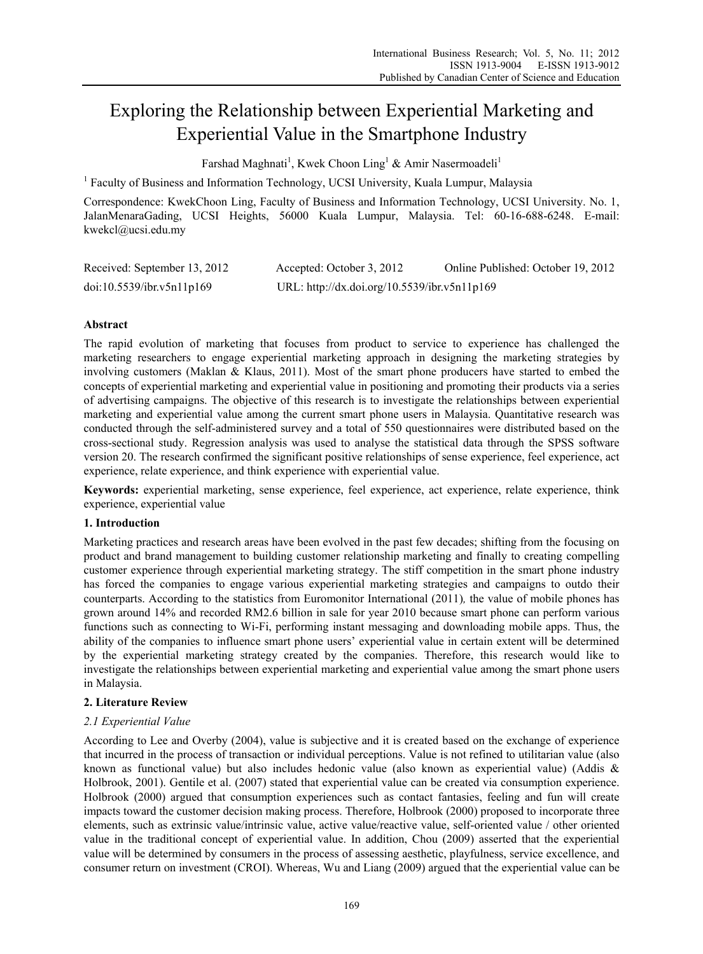# Exploring the Relationship between Experiential Marketing and Experiential Value in the Smartphone Industry

Farshad Maghnati<sup>1</sup>, Kwek Choon Ling<sup>1</sup> & Amir Nasermoadeli<sup>1</sup>

<sup>1</sup> Faculty of Business and Information Technology, UCSI University, Kuala Lumpur, Malaysia

Correspondence: KwekChoon Ling, Faculty of Business and Information Technology, UCSI University. No. 1, JalanMenaraGading, UCSI Heights, 56000 Kuala Lumpur, Malaysia. Tel: 60-16-688-6248. E-mail: kwekcl@ucsi.edu.my

| Received: September 13, 2012 | Accepted: October 3, 2012                    | Online Published: October 19, 2012 |
|------------------------------|----------------------------------------------|------------------------------------|
| doi:10.5539/ibr.v5n11p169    | URL: http://dx.doi.org/10.5539/ibr.v5n11p169 |                                    |

# **Abstract**

The rapid evolution of marketing that focuses from product to service to experience has challenged the marketing researchers to engage experiential marketing approach in designing the marketing strategies by involving customers (Maklan & Klaus, 2011). Most of the smart phone producers have started to embed the concepts of experiential marketing and experiential value in positioning and promoting their products via a series of advertising campaigns. The objective of this research is to investigate the relationships between experiential marketing and experiential value among the current smart phone users in Malaysia. Quantitative research was conducted through the self-administered survey and a total of 550 questionnaires were distributed based on the cross-sectional study. Regression analysis was used to analyse the statistical data through the SPSS software version 20. The research confirmed the significant positive relationships of sense experience, feel experience, act experience, relate experience, and think experience with experiential value.

**Keywords:** experiential marketing, sense experience, feel experience, act experience, relate experience, think experience, experiential value

# **1. Introduction**

Marketing practices and research areas have been evolved in the past few decades; shifting from the focusing on product and brand management to building customer relationship marketing and finally to creating compelling customer experience through experiential marketing strategy. The stiff competition in the smart phone industry has forced the companies to engage various experiential marketing strategies and campaigns to outdo their counterparts. According to the statistics from Euromonitor International (2011)*,* the value of mobile phones has grown around 14% and recorded RM2.6 billion in sale for year 2010 because smart phone can perform various functions such as connecting to Wi-Fi, performing instant messaging and downloading mobile apps. Thus, the ability of the companies to influence smart phone users' experiential value in certain extent will be determined by the experiential marketing strategy created by the companies. Therefore, this research would like to investigate the relationships between experiential marketing and experiential value among the smart phone users in Malaysia.

# **2. Literature Review**

# *2.1 Experiential Value*

According to Lee and Overby (2004), value is subjective and it is created based on the exchange of experience that incurred in the process of transaction or individual perceptions. Value is not refined to utilitarian value (also known as functional value) but also includes hedonic value (also known as experiential value) (Addis & Holbrook, 2001). Gentile et al. (2007) stated that experiential value can be created via consumption experience. Holbrook (2000) argued that consumption experiences such as contact fantasies, feeling and fun will create impacts toward the customer decision making process. Therefore, Holbrook (2000) proposed to incorporate three elements, such as extrinsic value/intrinsic value, active value/reactive value, self-oriented value / other oriented value in the traditional concept of experiential value. In addition, Chou (2009) asserted that the experiential value will be determined by consumers in the process of assessing aesthetic, playfulness, service excellence, and consumer return on investment (CROI). Whereas, Wu and Liang (2009) argued that the experiential value can be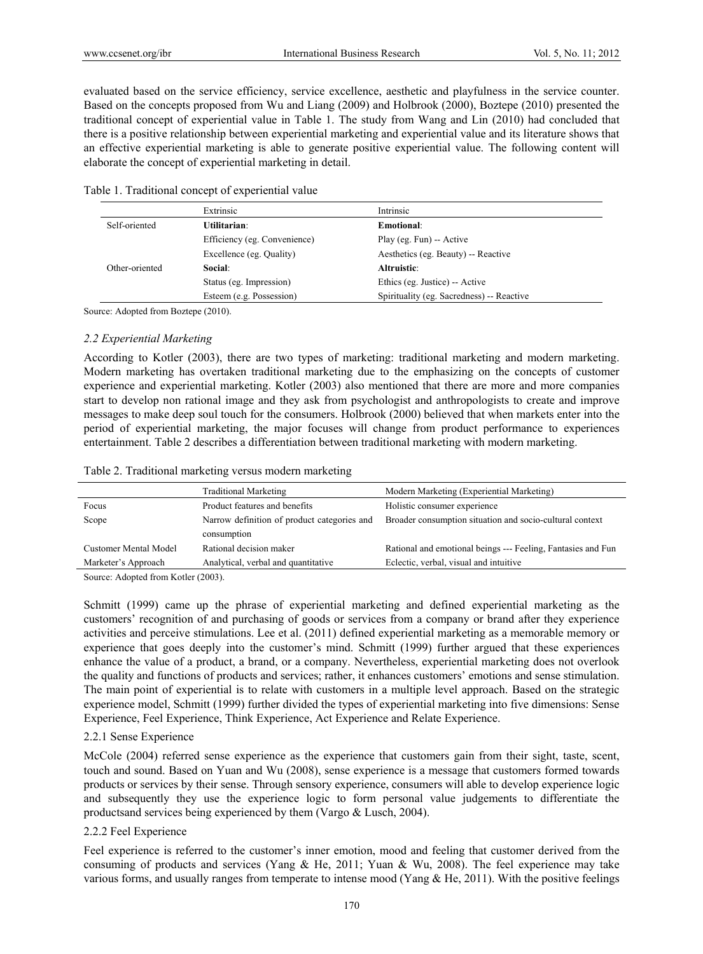evaluated based on the service efficiency, service excellence, aesthetic and playfulness in the service counter. Based on the concepts proposed from Wu and Liang (2009) and Holbrook (2000), Boztepe (2010) presented the traditional concept of experiential value in Table 1. The study from Wang and Lin (2010) had concluded that there is a positive relationship between experiential marketing and experiential value and its literature shows that an effective experiential marketing is able to generate positive experiential value. The following content will elaborate the concept of experiential marketing in detail.

Table 1. Traditional concept of experiential value

|                | Extrinsic                    | Intrinsic                                 |
|----------------|------------------------------|-------------------------------------------|
| Self-oriented  | Utilitarian:                 | Emotional:                                |
|                | Efficiency (eg. Convenience) | Play (eg. Fun) -- Active                  |
|                | Excellence (eg. Quality)     | Aesthetics (eg. Beauty) -- Reactive       |
| Other-oriented | Social:                      | Altruistic:                               |
|                | Status (eg. Impression)      | Ethics (eg. Justice) -- Active            |
|                | Esteem (e.g. Possession)     | Spirituality (eg. Sacredness) -- Reactive |

Source: Adopted from Boztepe (2010).

# *2.2 Experiential Marketing*

According to Kotler (2003), there are two types of marketing: traditional marketing and modern marketing. Modern marketing has overtaken traditional marketing due to the emphasizing on the concepts of customer experience and experiential marketing. Kotler (2003) also mentioned that there are more and more companies start to develop non rational image and they ask from psychologist and anthropologists to create and improve messages to make deep soul touch for the consumers. Holbrook (2000) believed that when markets enter into the period of experiential marketing, the major focuses will change from product performance to experiences entertainment. Table 2 describes a differentiation between traditional marketing with modern marketing.

|  | Table 2. Traditional marketing versus modern marketing |  |  |  |  |
|--|--------------------------------------------------------|--|--|--|--|
|--|--------------------------------------------------------|--|--|--|--|

|                                                      | <b>Traditional Marketing</b>        | Modern Marketing (Experiential Marketing)                    |  |  |
|------------------------------------------------------|-------------------------------------|--------------------------------------------------------------|--|--|
| Focus                                                | Product features and benefits       | Holistic consumer experience                                 |  |  |
| Narrow definition of product categories and<br>Scope |                                     | Broader consumption situation and socio-cultural context     |  |  |
|                                                      | consumption                         |                                                              |  |  |
| Customer Mental Model                                | Rational decision maker             | Rational and emotional beings --- Feeling, Fantasies and Fun |  |  |
| Marketer's Approach                                  | Analytical, verbal and quantitative | Eclectic, verbal, visual and intuitive                       |  |  |

Source: Adopted from Kotler (2003).

Schmitt (1999) came up the phrase of experiential marketing and defined experiential marketing as the customers' recognition of and purchasing of goods or services from a company or brand after they experience activities and perceive stimulations. Lee et al. (2011) defined experiential marketing as a memorable memory or experience that goes deeply into the customer's mind. Schmitt (1999) further argued that these experiences enhance the value of a product, a brand, or a company. Nevertheless, experiential marketing does not overlook the quality and functions of products and services; rather, it enhances customers' emotions and sense stimulation. The main point of experiential is to relate with customers in a multiple level approach. Based on the strategic experience model, Schmitt (1999) further divided the types of experiential marketing into five dimensions: Sense Experience, Feel Experience, Think Experience, Act Experience and Relate Experience.

#### 2.2.1 Sense Experience

McCole (2004) referred sense experience as the experience that customers gain from their sight, taste, scent, touch and sound. Based on Yuan and Wu (2008), sense experience is a message that customers formed towards products or services by their sense. Through sensory experience, consumers will able to develop experience logic and subsequently they use the experience logic to form personal value judgements to differentiate the productsand services being experienced by them (Vargo & Lusch, 2004).

#### 2.2.2 Feel Experience

Feel experience is referred to the customer's inner emotion, mood and feeling that customer derived from the consuming of products and services (Yang & He, 2011; Yuan & Wu, 2008). The feel experience may take various forms, and usually ranges from temperate to intense mood (Yang & He, 2011). With the positive feelings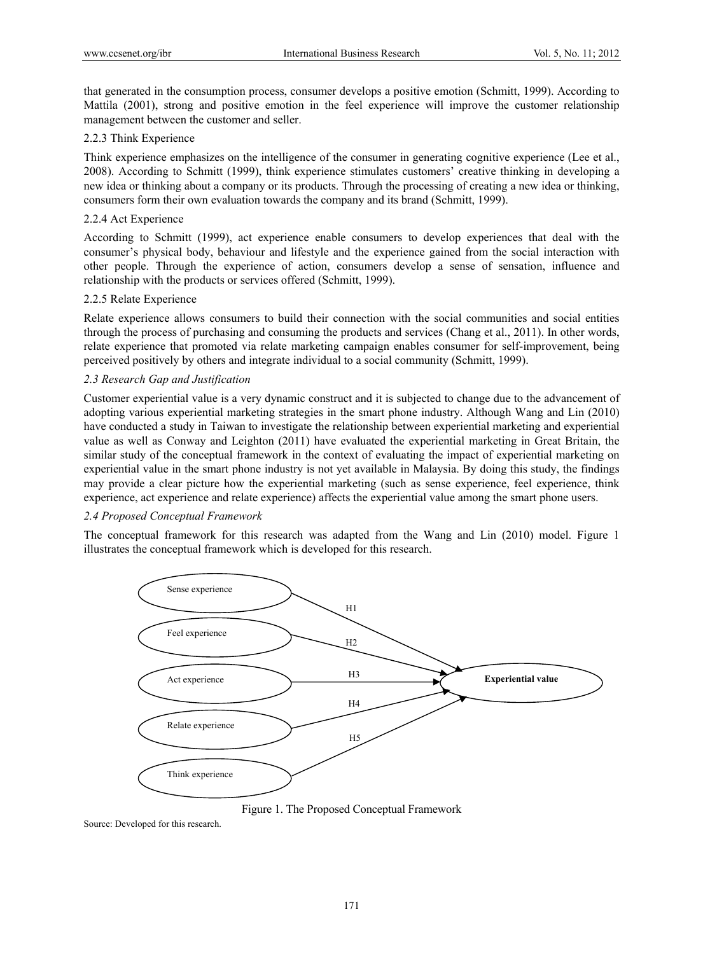that generated in the consumption process, consumer develops a positive emotion (Schmitt, 1999). According to Mattila (2001), strong and positive emotion in the feel experience will improve the customer relationship management between the customer and seller.

## 2.2.3 Think Experience

Think experience emphasizes on the intelligence of the consumer in generating cognitive experience (Lee et al., 2008). According to Schmitt (1999), think experience stimulates customers' creative thinking in developing a new idea or thinking about a company or its products. Through the processing of creating a new idea or thinking, consumers form their own evaluation towards the company and its brand (Schmitt, 1999).

## 2.2.4 Act Experience

According to Schmitt (1999), act experience enable consumers to develop experiences that deal with the consumer's physical body, behaviour and lifestyle and the experience gained from the social interaction with other people. Through the experience of action, consumers develop a sense of sensation, influence and relationship with the products or services offered (Schmitt, 1999).

## 2.2.5 Relate Experience

Relate experience allows consumers to build their connection with the social communities and social entities through the process of purchasing and consuming the products and services (Chang et al., 2011). In other words, relate experience that promoted via relate marketing campaign enables consumer for self-improvement, being perceived positively by others and integrate individual to a social community (Schmitt, 1999).

# *2.3 Research Gap and Justification*

Customer experiential value is a very dynamic construct and it is subjected to change due to the advancement of adopting various experiential marketing strategies in the smart phone industry. Although Wang and Lin (2010) have conducted a study in Taiwan to investigate the relationship between experiential marketing and experiential value as well as Conway and Leighton (2011) have evaluated the experiential marketing in Great Britain, the similar study of the conceptual framework in the context of evaluating the impact of experiential marketing on experiential value in the smart phone industry is not yet available in Malaysia. By doing this study, the findings may provide a clear picture how the experiential marketing (such as sense experience, feel experience, think experience, act experience and relate experience) affects the experiential value among the smart phone users.

#### *2.4 Proposed Conceptual Framework*

The conceptual framework for this research was adapted from the Wang and Lin (2010) model. Figure 1 illustrates the conceptual framework which is developed for this research.



Figure 1. The Proposed Conceptual Framework

Source: Developed for this research.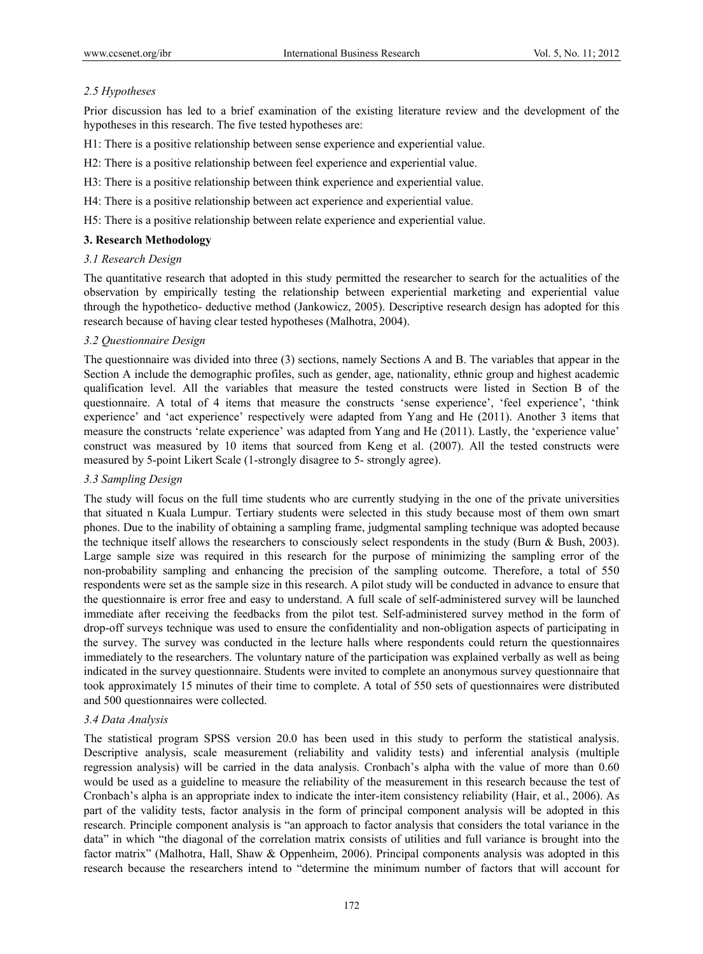# *2.5 Hypotheses*

Prior discussion has led to a brief examination of the existing literature review and the development of the hypotheses in this research. The five tested hypotheses are:

H1: There is a positive relationship between sense experience and experiential value.

- H2: There is a positive relationship between feel experience and experiential value.
- H3: There is a positive relationship between think experience and experiential value.
- H4: There is a positive relationship between act experience and experiential value.
- H5: There is a positive relationship between relate experience and experiential value.

## **3. Research Methodology**

## *3.1 Research Design*

The quantitative research that adopted in this study permitted the researcher to search for the actualities of the observation by empirically testing the relationship between experiential marketing and experiential value through the hypothetico- deductive method (Jankowicz, 2005). Descriptive research design has adopted for this research because of having clear tested hypotheses (Malhotra, 2004).

## *3.2 Questionnaire Design*

The questionnaire was divided into three (3) sections, namely Sections A and B. The variables that appear in the Section A include the demographic profiles, such as gender, age, nationality, ethnic group and highest academic qualification level. All the variables that measure the tested constructs were listed in Section B of the questionnaire. A total of 4 items that measure the constructs 'sense experience', 'feel experience', 'think experience' and 'act experience' respectively were adapted from Yang and He (2011). Another 3 items that measure the constructs 'relate experience' was adapted from Yang and He (2011). Lastly, the 'experience value' construct was measured by 10 items that sourced from Keng et al. (2007). All the tested constructs were measured by 5-point Likert Scale (1-strongly disagree to 5- strongly agree).

## *3.3 Sampling Design*

The study will focus on the full time students who are currently studying in the one of the private universities that situated n Kuala Lumpur. Tertiary students were selected in this study because most of them own smart phones. Due to the inability of obtaining a sampling frame, judgmental sampling technique was adopted because the technique itself allows the researchers to consciously select respondents in the study (Burn & Bush, 2003). Large sample size was required in this research for the purpose of minimizing the sampling error of the non-probability sampling and enhancing the precision of the sampling outcome. Therefore, a total of 550 respondents were set as the sample size in this research. A pilot study will be conducted in advance to ensure that the questionnaire is error free and easy to understand. A full scale of self-administered survey will be launched immediate after receiving the feedbacks from the pilot test. Self-administered survey method in the form of drop-off surveys technique was used to ensure the confidentiality and non-obligation aspects of participating in the survey. The survey was conducted in the lecture halls where respondents could return the questionnaires immediately to the researchers. The voluntary nature of the participation was explained verbally as well as being indicated in the survey questionnaire. Students were invited to complete an anonymous survey questionnaire that took approximately 15 minutes of their time to complete. A total of 550 sets of questionnaires were distributed and 500 questionnaires were collected.

# *3.4 Data Analysis*

The statistical program SPSS version 20.0 has been used in this study to perform the statistical analysis. Descriptive analysis, scale measurement (reliability and validity tests) and inferential analysis (multiple regression analysis) will be carried in the data analysis. Cronbach's alpha with the value of more than 0.60 would be used as a guideline to measure the reliability of the measurement in this research because the test of Cronbach's alpha is an appropriate index to indicate the inter-item consistency reliability (Hair, et al., 2006). As part of the validity tests, factor analysis in the form of principal component analysis will be adopted in this research. Principle component analysis is "an approach to factor analysis that considers the total variance in the data" in which "the diagonal of the correlation matrix consists of utilities and full variance is brought into the factor matrix" (Malhotra, Hall, Shaw & Oppenheim, 2006). Principal components analysis was adopted in this research because the researchers intend to "determine the minimum number of factors that will account for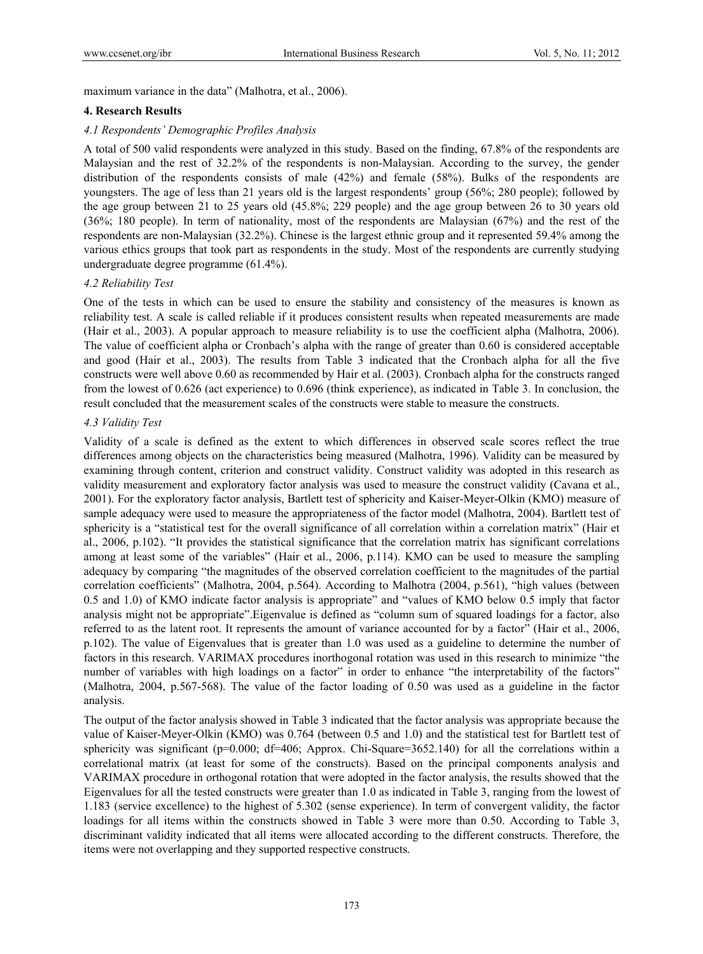maximum variance in the data" (Malhotra, et al., 2006).

#### **4. Research Results**

#### *4.1 Respondents' Demographic Profiles Analysis*

A total of 500 valid respondents were analyzed in this study. Based on the finding, 67.8% of the respondents are Malaysian and the rest of 32.2% of the respondents is non-Malaysian. According to the survey, the gender distribution of the respondents consists of male (42%) and female (58%). Bulks of the respondents are youngsters. The age of less than 21 years old is the largest respondents' group (56%; 280 people); followed by the age group between 21 to 25 years old (45.8%; 229 people) and the age group between 26 to 30 years old (36%; 180 people). In term of nationality, most of the respondents are Malaysian (67%) and the rest of the respondents are non-Malaysian (32.2%). Chinese is the largest ethnic group and it represented 59.4% among the various ethics groups that took part as respondents in the study. Most of the respondents are currently studying undergraduate degree programme (61.4%).

#### *4.2 Reliability Test*

One of the tests in which can be used to ensure the stability and consistency of the measures is known as reliability test. A scale is called reliable if it produces consistent results when repeated measurements are made (Hair et al., 2003). A popular approach to measure reliability is to use the coefficient alpha (Malhotra, 2006). The value of coefficient alpha or Cronbach's alpha with the range of greater than 0.60 is considered acceptable and good (Hair et al., 2003). The results from Table 3 indicated that the Cronbach alpha for all the five constructs were well above 0.60 as recommended by Hair et al. (2003). Cronbach alpha for the constructs ranged from the lowest of 0.626 (act experience) to 0.696 (think experience), as indicated in Table 3. In conclusion, the result concluded that the measurement scales of the constructs were stable to measure the constructs.

#### *4.3 Validity Test*

Validity of a scale is defined as the extent to which differences in observed scale scores reflect the true differences among objects on the characteristics being measured (Malhotra, 1996). Validity can be measured by examining through content, criterion and construct validity. Construct validity was adopted in this research as validity measurement and exploratory factor analysis was used to measure the construct validity (Cavana et al., 2001). For the exploratory factor analysis, Bartlett test of sphericity and Kaiser-Meyer-Olkin (KMO) measure of sample adequacy were used to measure the appropriateness of the factor model (Malhotra, 2004). Bartlett test of sphericity is a "statistical test for the overall significance of all correlation within a correlation matrix" (Hair et al., 2006, p.102). "It provides the statistical significance that the correlation matrix has significant correlations among at least some of the variables" (Hair et al., 2006, p.114). KMO can be used to measure the sampling adequacy by comparing "the magnitudes of the observed correlation coefficient to the magnitudes of the partial correlation coefficients" (Malhotra, 2004, p.564). According to Malhotra (2004, p.561), "high values (between 0.5 and 1.0) of KMO indicate factor analysis is appropriate" and "values of KMO below 0.5 imply that factor analysis might not be appropriate".Eigenvalue is defined as "column sum of squared loadings for a factor, also referred to as the latent root. It represents the amount of variance accounted for by a factor" (Hair et al., 2006, p.102). The value of Eigenvalues that is greater than 1.0 was used as a guideline to determine the number of factors in this research. VARIMAX procedures inorthogonal rotation was used in this research to minimize "the number of variables with high loadings on a factor" in order to enhance "the interpretability of the factors" (Malhotra, 2004, p.567-568). The value of the factor loading of 0.50 was used as a guideline in the factor analysis.

The output of the factor analysis showed in Table 3 indicated that the factor analysis was appropriate because the value of Kaiser-Meyer-Olkin (KMO) was 0.764 (between 0.5 and 1.0) and the statistical test for Bartlett test of sphericity was significant ( $p=0.000$ ; df=406; Approx. Chi-Square=3652.140) for all the correlations within a correlational matrix (at least for some of the constructs). Based on the principal components analysis and VARIMAX procedure in orthogonal rotation that were adopted in the factor analysis, the results showed that the Eigenvalues for all the tested constructs were greater than 1.0 as indicated in Table 3, ranging from the lowest of 1.183 (service excellence) to the highest of 5.302 (sense experience). In term of convergent validity, the factor loadings for all items within the constructs showed in Table 3 were more than 0.50. According to Table 3, discriminant validity indicated that all items were allocated according to the different constructs. Therefore, the items were not overlapping and they supported respective constructs.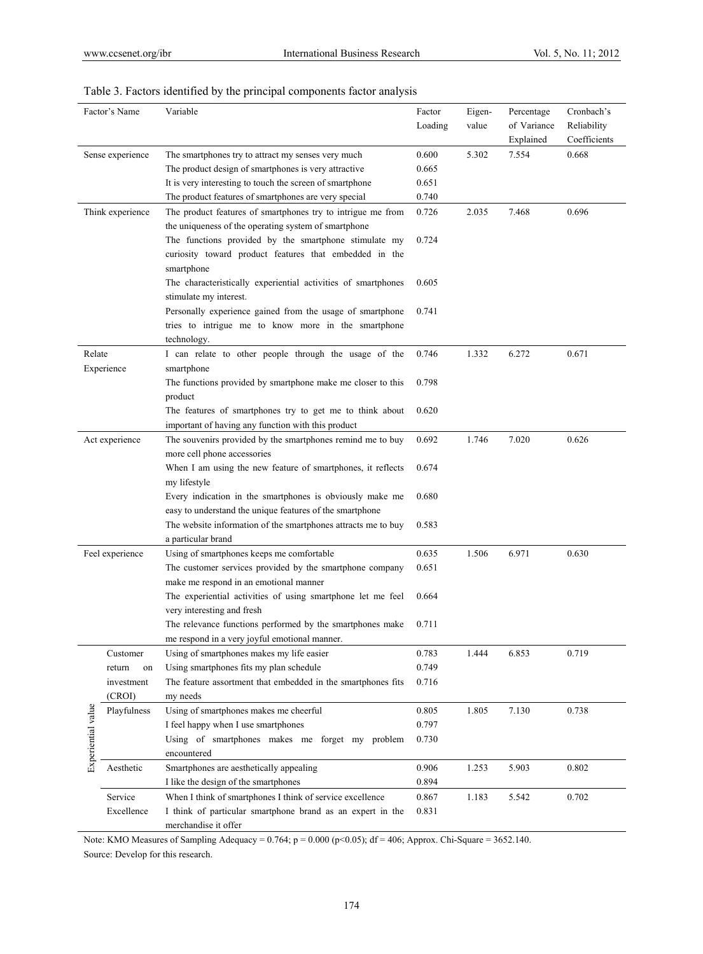| Factor's Name      |                  | Variable                                                      | Factor  | Eigen- | Percentage  | Cronbach's   |
|--------------------|------------------|---------------------------------------------------------------|---------|--------|-------------|--------------|
|                    |                  |                                                               | Loading | value  | of Variance | Reliability  |
|                    |                  |                                                               |         |        | Explained   | Coefficients |
| Sense experience   |                  | The smartphones try to attract my senses very much            | 0.600   | 5.302  | 7.554       | 0.668        |
|                    |                  | The product design of smartphones is very attractive          | 0.665   |        |             |              |
|                    |                  | It is very interesting to touch the screen of smartphone      | 0.651   |        |             |              |
|                    |                  | The product features of smartphones are very special          | 0.740   |        |             |              |
|                    | Think experience | The product features of smartphones try to intrigue me from   | 0.726   | 2.035  | 7.468       | 0.696        |
|                    |                  | the uniqueness of the operating system of smartphone          |         |        |             |              |
|                    |                  | The functions provided by the smartphone stimulate my         | 0.724   |        |             |              |
|                    |                  | curiosity toward product features that embedded in the        |         |        |             |              |
|                    |                  | smartphone                                                    |         |        |             |              |
|                    |                  | The characteristically experiential activities of smartphones | 0.605   |        |             |              |
|                    |                  | stimulate my interest.                                        |         |        |             |              |
|                    |                  | Personally experience gained from the usage of smartphone     | 0.741   |        |             |              |
|                    |                  | tries to intrigue me to know more in the smartphone           |         |        |             |              |
|                    |                  | technology.                                                   |         |        |             |              |
| Relate             |                  | I can relate to other people through the usage of the         | 0.746   | 1.332  | 6.272       | 0.671        |
|                    | Experience       | smartphone                                                    |         |        |             |              |
|                    |                  | The functions provided by smartphone make me closer to this   | 0.798   |        |             |              |
|                    |                  | product                                                       |         |        |             |              |
|                    |                  | The features of smartphones try to get me to think about      | 0.620   |        |             |              |
|                    |                  | important of having any function with this product            |         |        |             |              |
|                    | Act experience   | The souvenirs provided by the smartphones remind me to buy    | 0.692   | 1.746  | 7.020       | 0.626        |
|                    |                  | more cell phone accessories                                   |         |        |             |              |
|                    |                  | When I am using the new feature of smartphones, it reflects   | 0.674   |        |             |              |
|                    |                  | my lifestyle                                                  |         |        |             |              |
|                    |                  | Every indication in the smartphones is obviously make me      | 0.680   |        |             |              |
|                    |                  | easy to understand the unique features of the smartphone      |         |        |             |              |
|                    |                  | The website information of the smartphones attracts me to buy | 0.583   |        |             |              |
|                    |                  | a particular brand                                            |         |        |             |              |
|                    | Feel experience  | Using of smartphones keeps me comfortable                     | 0.635   | 1.506  | 6.971       | 0.630        |
|                    |                  | The customer services provided by the smartphone company      | 0.651   |        |             |              |
|                    |                  | make me respond in an emotional manner                        |         |        |             |              |
|                    |                  | The experiential activities of using smartphone let me feel   | 0.664   |        |             |              |
|                    |                  | very interesting and fresh                                    |         |        |             |              |
|                    |                  | The relevance functions performed by the smartphones make     | 0.711   |        |             |              |
|                    |                  | me respond in a very joyful emotional manner.                 |         |        |             |              |
|                    | Customer         | Using of smartphones makes my life easier                     | 0.783   | 1.444  | 6.853       | 0.719        |
|                    | return<br>on     | Using smartphones fits my plan schedule                       | 0.749   |        |             |              |
|                    | investment       | The feature assortment that embedded in the smartphones fits  | 0.716   |        |             |              |
|                    | (CROI)           | my needs                                                      |         |        |             |              |
|                    | Playfulness      | Using of smartphones makes me cheerful                        | 0.805   | 1.805  | 7.130       | 0.738        |
|                    |                  | I feel happy when I use smartphones                           | 0.797   |        |             |              |
|                    |                  | Using of smartphones makes me forget my problem               | 0.730   |        |             |              |
|                    |                  | encountered                                                   |         |        |             |              |
| Experiential value | Aesthetic        | Smartphones are aesthetically appealing                       | 0.906   | 1.253  | 5.903       | 0.802        |
|                    |                  | I like the design of the smartphones                          | 0.894   |        |             |              |
|                    | Service          | When I think of smartphones I think of service excellence     | 0.867   | 1.183  | 5.542       | 0.702        |
|                    | Excellence       | I think of particular smartphone brand as an expert in the    | 0.831   |        |             |              |
|                    |                  | merchandise it offer                                          |         |        |             |              |

# Table 3. Factors identified by the principal components factor analysis

Note: KMO Measures of Sampling Adequacy = 0.764; p = 0.000 (p<0.05); df = 406; Approx. Chi-Square = 3652.140. Source: Develop for this research.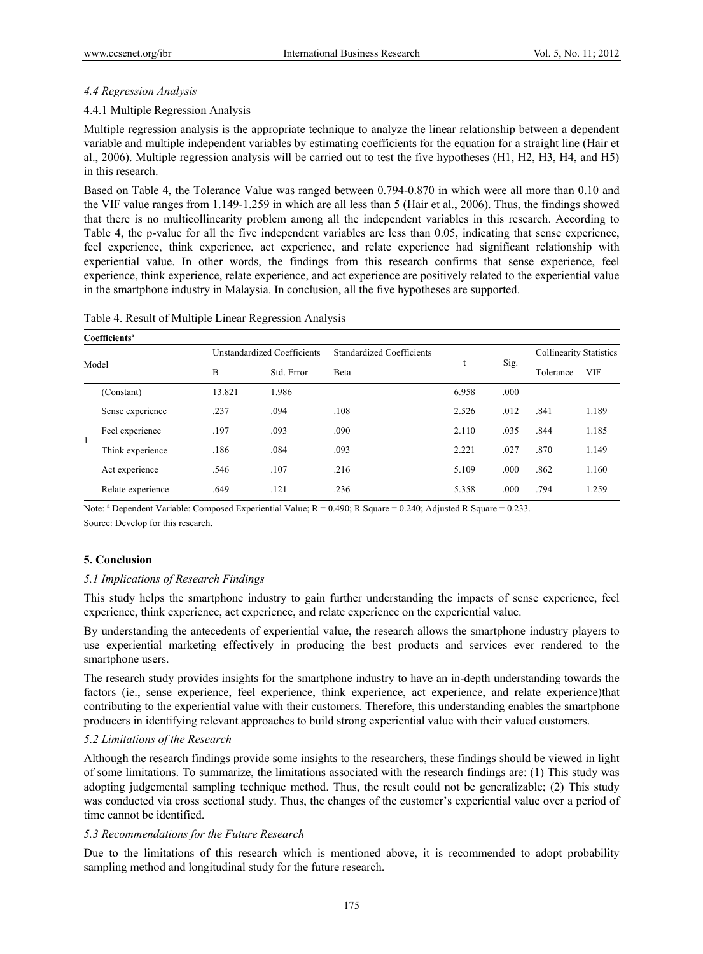#### *4.4 Regression Analysis*

#### 4.4.1 Multiple Regression Analysis

Multiple regression analysis is the appropriate technique to analyze the linear relationship between a dependent variable and multiple independent variables by estimating coefficients for the equation for a straight line (Hair et al., 2006). Multiple regression analysis will be carried out to test the five hypotheses (H1, H2, H3, H4, and H5) in this research.

Based on Table 4, the Tolerance Value was ranged between 0.794-0.870 in which were all more than 0.10 and the VIF value ranges from 1.149-1.259 in which are all less than 5 (Hair et al., 2006). Thus, the findings showed that there is no multicollinearity problem among all the independent variables in this research. According to Table 4, the p-value for all the five independent variables are less than 0.05, indicating that sense experience, feel experience, think experience, act experience, and relate experience had significant relationship with experiential value. In other words, the findings from this research confirms that sense experience, feel experience, think experience, relate experience, and act experience are positively related to the experiential value in the smartphone industry in Malaysia. In conclusion, all the five hypotheses are supported.

|  | Coefficients <sup>a</sup> |        |                             |                                  |       |      |                                |            |
|--|---------------------------|--------|-----------------------------|----------------------------------|-------|------|--------------------------------|------------|
|  |                           |        | Unstandardized Coefficients | <b>Standardized Coefficients</b> |       | Sig. | <b>Collinearity Statistics</b> |            |
|  | Model                     | B      | Std. Error                  | Beta                             |       |      | Tolerance                      | <b>VIF</b> |
|  | (Constant)                | 13.821 | 1.986                       |                                  | 6.958 | .000 |                                |            |
|  | Sense experience          | .237   | .094                        | .108                             | 2.526 | .012 | .841                           | 1.189      |
|  | Feel experience           | .197   | .093                        | .090                             | 2.110 | .035 | .844                           | 1.185      |
|  | Think experience          | .186   | .084                        | .093                             | 2.221 | .027 | .870                           | 1.149      |
|  | Act experience            | .546   | .107                        | .216                             | 5.109 | .000 | .862                           | 1.160      |
|  | Relate experience         | .649   | .121                        | .236                             | 5.358 | .000 | .794                           | 1.259      |

|  |  | Table 4. Result of Multiple Linear Regression Analysis |  |
|--|--|--------------------------------------------------------|--|
|  |  |                                                        |  |

Note:  $a^2$  Dependent Variable: Composed Experiential Value;  $R = 0.490$ ; R Square = 0.240; Adjusted R Square = 0.233. Source: Develop for this research.

#### **5. Conclusion**

#### *5.1 Implications of Research Findings*

This study helps the smartphone industry to gain further understanding the impacts of sense experience, feel experience, think experience, act experience, and relate experience on the experiential value.

By understanding the antecedents of experiential value, the research allows the smartphone industry players to use experiential marketing effectively in producing the best products and services ever rendered to the smartphone users.

The research study provides insights for the smartphone industry to have an in-depth understanding towards the factors (ie., sense experience, feel experience, think experience, act experience, and relate experience)that contributing to the experiential value with their customers. Therefore, this understanding enables the smartphone producers in identifying relevant approaches to build strong experiential value with their valued customers.

#### *5.2 Limitations of the Research*

Although the research findings provide some insights to the researchers, these findings should be viewed in light of some limitations. To summarize, the limitations associated with the research findings are: (1) This study was adopting judgemental sampling technique method. Thus, the result could not be generalizable; (2) This study was conducted via cross sectional study. Thus, the changes of the customer's experiential value over a period of time cannot be identified.

#### *5.3 Recommendations for the Future Research*

Due to the limitations of this research which is mentioned above, it is recommended to adopt probability sampling method and longitudinal study for the future research.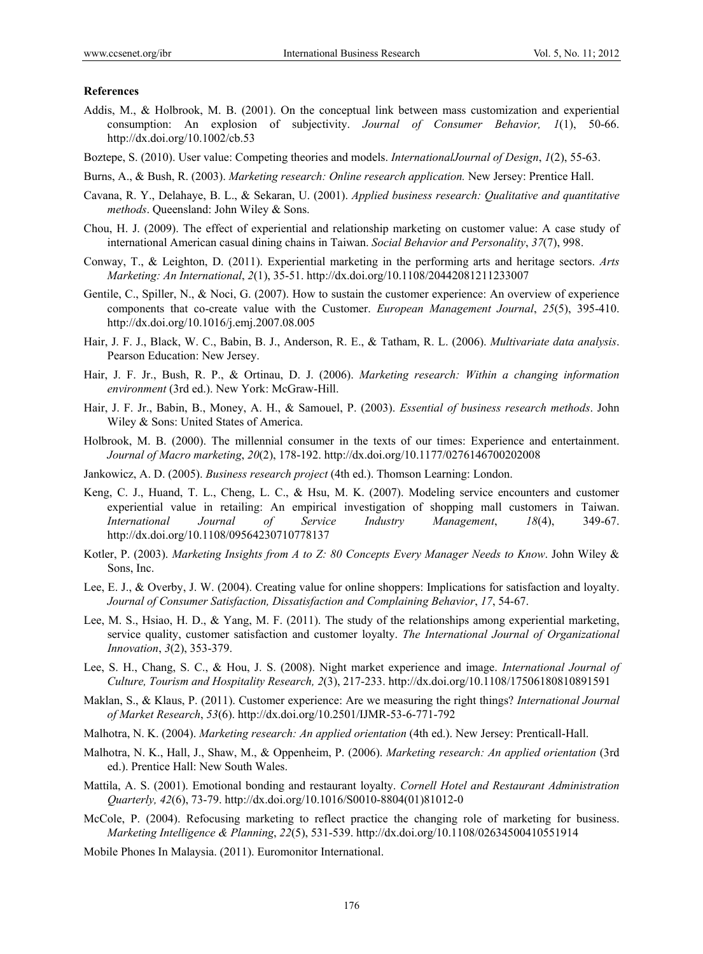#### **References**

- Addis, M., & Holbrook, M. B. (2001). On the conceptual link between mass customization and experiential consumption: An explosion of subjectivity. *Journal of Consumer Behavior, 1*(1), 50-66. http://dx.doi.org/10.1002/cb.53
- Boztepe, S. (2010). User value: Competing theories and models. *InternationalJournal of Design*, *1*(2), 55-63.
- Burns, A., & Bush, R. (2003). *Marketing research: Online research application.* New Jersey: Prentice Hall.
- Cavana, R. Y., Delahaye, B. L., & Sekaran, U. (2001). *Applied business research: Qualitative and quantitative methods*. Queensland: John Wiley & Sons.
- Chou, H. J. (2009). The effect of experiential and relationship marketing on customer value: A case study of international American casual dining chains in Taiwan. *Social Behavior and Personality*, *37*(7), 998.
- Conway, T., & Leighton, D. (2011). Experiential marketing in the performing arts and heritage sectors. *Arts Marketing: An International*, *2*(1), 35-51. http://dx.doi.org/10.1108/20442081211233007
- Gentile, C., Spiller, N., & Noci, G. (2007). How to sustain the customer experience: An overview of experience components that co-create value with the Customer. *European Management Journal*, *25*(5), 395-410. http://dx.doi.org/10.1016/j.emj.2007.08.005
- Hair, J. F. J., Black, W. C., Babin, B. J., Anderson, R. E., & Tatham, R. L. (2006). *Multivariate data analysis*. Pearson Education: New Jersey.
- Hair, J. F. Jr., Bush, R. P., & Ortinau, D. J. (2006). *Marketing research: Within a changing information environment* (3rd ed.). New York: McGraw-Hill.
- Hair, J. F. Jr., Babin, B., Money, A. H., & Samouel, P. (2003). *Essential of business research methods*. John Wiley & Sons: United States of America.
- Holbrook, M. B. (2000). The millennial consumer in the texts of our times: Experience and entertainment. *Journal of Macro marketing*, *20*(2), 178-192. http://dx.doi.org/10.1177/0276146700202008
- Jankowicz, A. D. (2005). *Business research project* (4th ed.). Thomson Learning: London.
- Keng, C. J., Huand, T. L., Cheng, L. C., & Hsu, M. K. (2007). Modeling service encounters and customer experiential value in retailing: An empirical investigation of shopping mall customers in Taiwan. *International Journal of Service Industry Management*, *18*(4), 349-67. http://dx.doi.org/10.1108/09564230710778137
- Kotler, P. (2003). *Marketing Insights from A to Z: 80 Concepts Every Manager Needs to Know*. John Wiley & Sons, Inc.
- Lee, E. J., & Overby, J. W. (2004). Creating value for online shoppers: Implications for satisfaction and loyalty. *Journal of Consumer Satisfaction, Dissatisfaction and Complaining Behavior*, *17*, 54-67.
- Lee, M. S., Hsiao, H. D., & Yang, M. F. (2011). The study of the relationships among experiential marketing, service quality, customer satisfaction and customer loyalty. *The International Journal of Organizational Innovation*, *3*(2), 353-379.
- Lee, S. H., Chang, S. C., & Hou, J. S. (2008). Night market experience and image. *International Journal of Culture, Tourism and Hospitality Research, 2*(3), 217-233. http://dx.doi.org/10.1108/17506180810891591
- Maklan, S., & Klaus, P. (2011). Customer experience: Are we measuring the right things? *International Journal of Market Research*, *53*(6). http://dx.doi.org/10.2501/IJMR-53-6-771-792
- Malhotra, N. K. (2004). *Marketing research: An applied orientation* (4th ed.). New Jersey: Prenticall-Hall.
- Malhotra, N. K., Hall, J., Shaw, M., & Oppenheim, P. (2006). *Marketing research: An applied orientation* (3rd ed.). Prentice Hall: New South Wales.
- Mattila, A. S. (2001). Emotional bonding and restaurant loyalty. *Cornell Hotel and Restaurant Administration Quarterly, 42*(6), 73-79. http://dx.doi.org/10.1016/S0010-8804(01)81012-0
- McCole, P. (2004). Refocusing marketing to reflect practice the changing role of marketing for business. *Marketing Intelligence & Planning*, *22*(5), 531-539. http://dx.doi.org/10.1108/02634500410551914
- Mobile Phones In Malaysia. (2011). Euromonitor International.